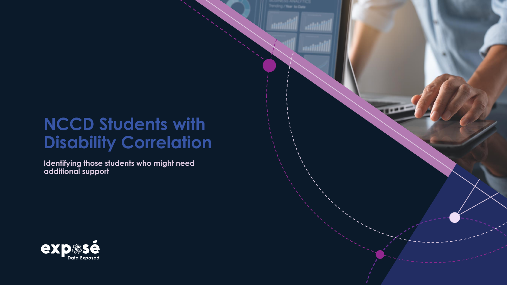# **NCCD Students with Disability Correlation**

**THE ST** 

**Identifying those students who might need additional support**